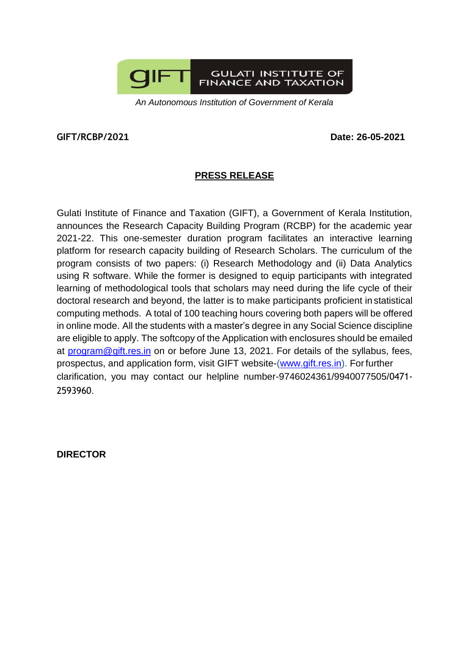

*An Autonomous Institution of Government of Kerala*

## **GIFT/RCBP/2021 Date: 26-05-2021**

## **PRESS RELEASE**

Gulati Institute of Finance and Taxation (GIFT), a Government of Kerala Institution, announces the Research Capacity Building Program (RCBP) for the academic year 2021-22. This one-semester duration program facilitates an interactive learning platform for research capacity building of Research Scholars. The curriculum of the program consists of two papers: (i) Research Methodology and (ii) Data Analytics using R software. While the former is designed to equip participants with integrated learning of methodological tools that scholars may need during the life cycle of their doctoral research and beyond, the latter is to make participants proficient in statistical computing methods. A total of 100 teaching hours covering both papers will be offered in online mode. All the students with a master's degree in any Social Science discipline are eligible to apply. The softcopy of the Application with enclosures should be emailed at [program@gift.res.in](mailto:program@gift.res.in) on or before June 13, 2021. For details of the syllabus, fees, prospectus, and application form, visit GIFT website-[\(www.gift.res.in\)](http://www.gift.res.in/). For further clarification, you may contact our helpline number-9746024361/9940077505/0471- 2593960.

**DIRECTOR**